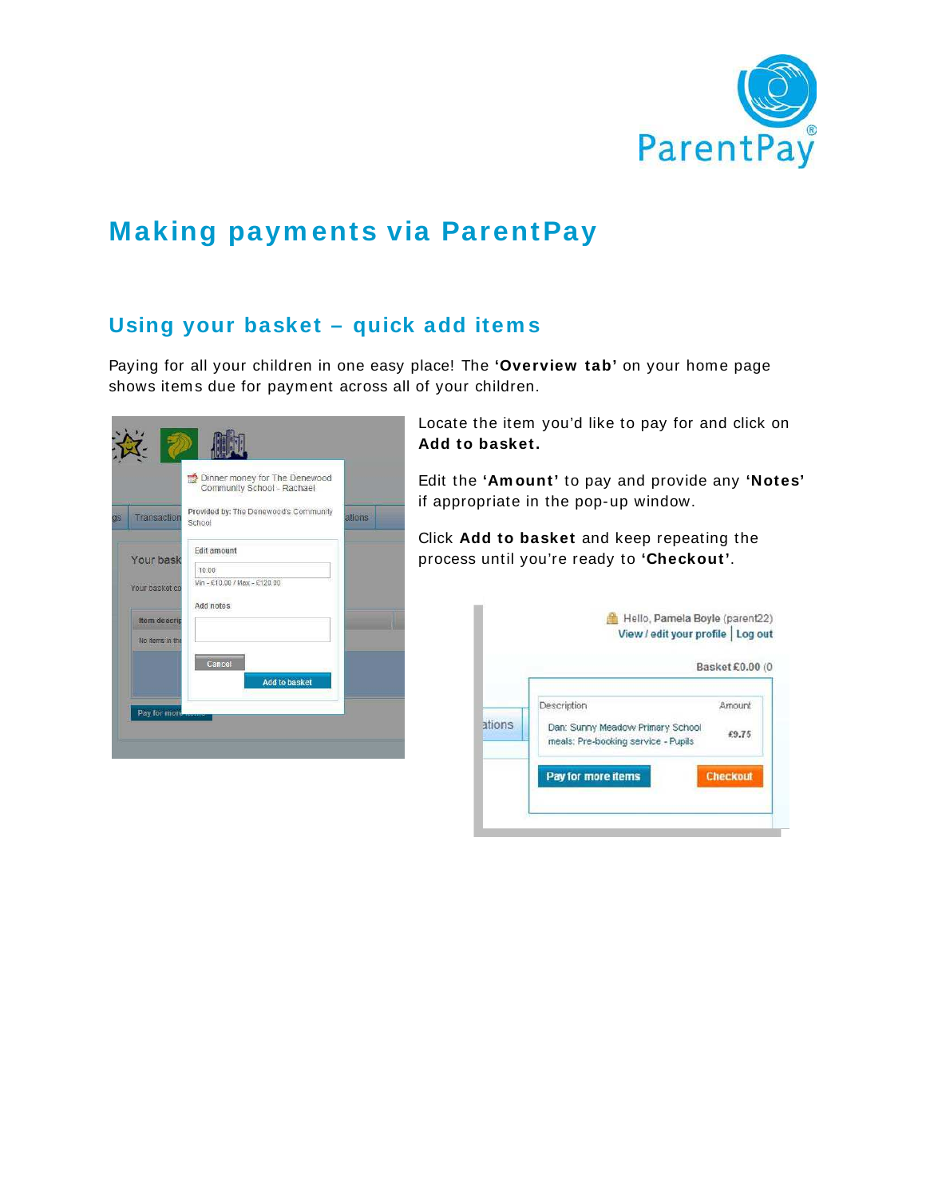

# **Making paym ents via ParentPay**

# **Using your basket – quick add item s**

Paying for all your children in one easy place! The **'Overview tab'** on your home page shows items due for payment across all of your children.

|    |                      | Dinner money for The Denewood<br>Community School - Rachael |        |  |
|----|----------------------|-------------------------------------------------------------|--------|--|
| as | Transaction          | Provided by: The Denewood's Community<br>School             | ations |  |
|    | Your bask            | Edit amount                                                 |        |  |
|    |                      | 10.00                                                       |        |  |
|    | Your basket co       | Min - £10.00 / Max - £120.00                                |        |  |
|    |                      | Add notes                                                   |        |  |
|    | <b>Item descript</b> |                                                             |        |  |
|    | No items in the      |                                                             |        |  |
|    |                      | Cancel                                                      |        |  |
|    |                      | <b>Add to basket</b>                                        |        |  |
|    |                      |                                                             |        |  |
|    | Pay for more         |                                                             |        |  |

Locate the item you'd like to pay for and click on **Add to basket.**

Edit the **'Am ount'** to pay and provide any **'Notes'** if appropriate in the pop-up window.

Click **Add to basket** and keep repeating the process until you're ready to **'Checkout'**.

|        |                                                                                        | Basket £0.00 (0 |
|--------|----------------------------------------------------------------------------------------|-----------------|
| ations | Description<br>Dan: Sunny Meadow Primary School<br>meals: Pre-booking service - Pupils | Amount<br>£9.75 |
|        | Pay for more items                                                                     | <b>Checkout</b> |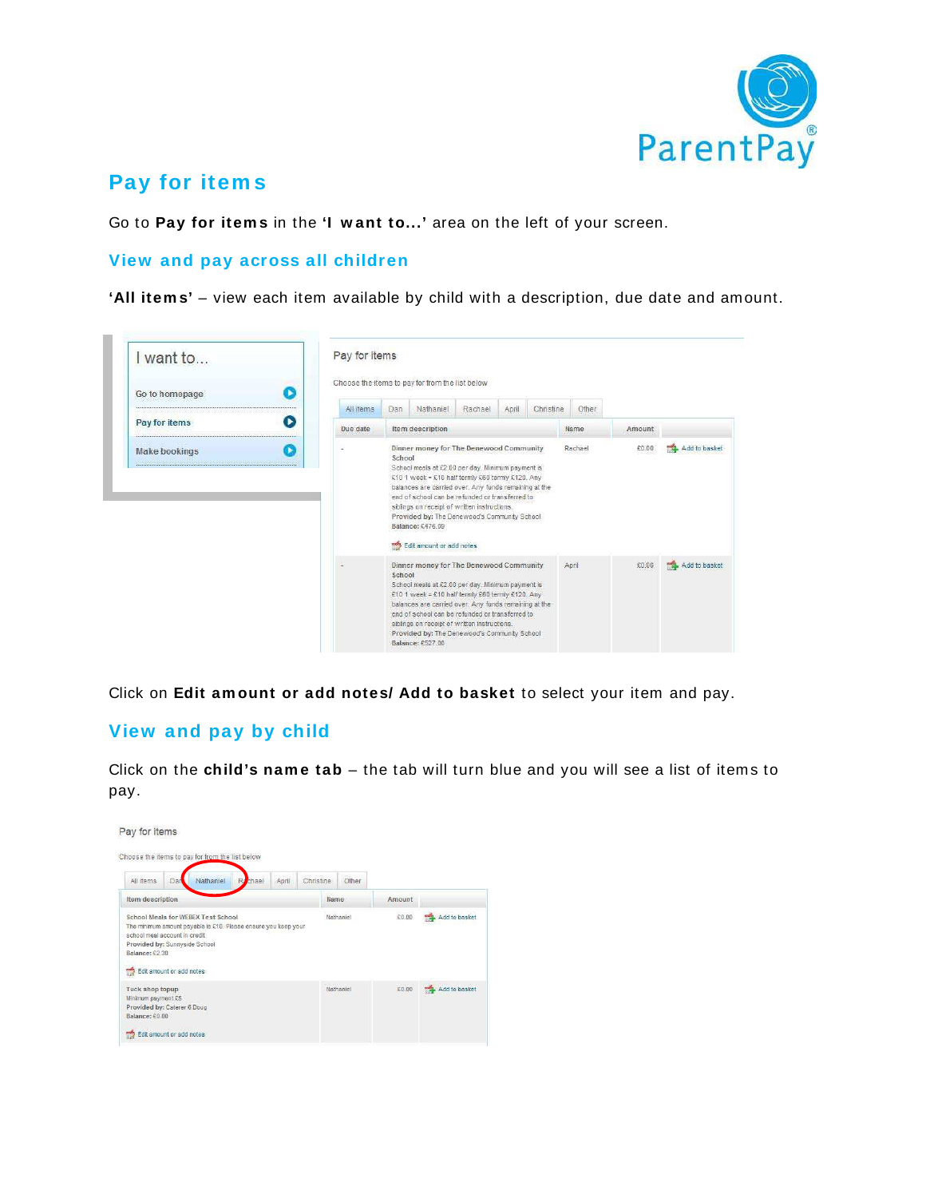

### **Pay for item s**

Go to **Pay for item s** in the **'I w ant to...'** area on the left of your screen.

#### **View and pay across all children**

**'All item s'** – view each item available by child with a description, due date and amount.

| I want to                                                                         |  | Pay for items |                  |                                                                                                                                                                                                                                                                                                                                                                                                               |         |       |           |         |        |               |
|-----------------------------------------------------------------------------------|--|---------------|------------------|---------------------------------------------------------------------------------------------------------------------------------------------------------------------------------------------------------------------------------------------------------------------------------------------------------------------------------------------------------------------------------------------------------------|---------|-------|-----------|---------|--------|---------------|
| Go to homepage                                                                    |  |               |                  | Choose the items to pay for from the list below                                                                                                                                                                                                                                                                                                                                                               |         |       |           |         |        |               |
| age a legal to get to get to get to get to get to get to get to get to get to get |  | All items     | Dan              | Nathaniel                                                                                                                                                                                                                                                                                                                                                                                                     | Rachael | April | Christine | Other   |        |               |
| Pay for items<br>▶                                                                |  | Due date      | Item description |                                                                                                                                                                                                                                                                                                                                                                                                               |         |       |           | Name    | Amount |               |
| Make bookings                                                                     |  | ٠             | School           | Dinner money for The Denewood Community<br>School meals at £2.00 per day. Minimum payment is<br>£10 1 week = £10 half termly £60 termly £120. Any<br>balances are carried over. Any funds remaining at the<br>end of school can be refunded or transferred to<br>siblings on receipt of written instructions.<br>Provided by: The Denewood's Community School<br>Balance: £476.09<br>Edit amount or add notes |         |       |           | Rachael | £0.00  | Add to basket |
|                                                                                   |  |               | School           | Dinner money for The Denewood Community<br>School meals at £2.00 per day. Minimum payment is<br>£10 1 week = £10 half termly £60 termly £120. Any<br>balances are carried over. Any funds remaining at the<br>end of school can be refunded or transferred to<br>siblings on receipt of written instructions.                                                                                                 |         |       |           | April   | £0.00  | Add to basket |

Click on **Edit am ount or add notes/ Add to basket** to select your item and pay.

### **View and pay by child**

Click on the **child's nam e tab** – the tab will turn blue and you will see a list of items to pay.

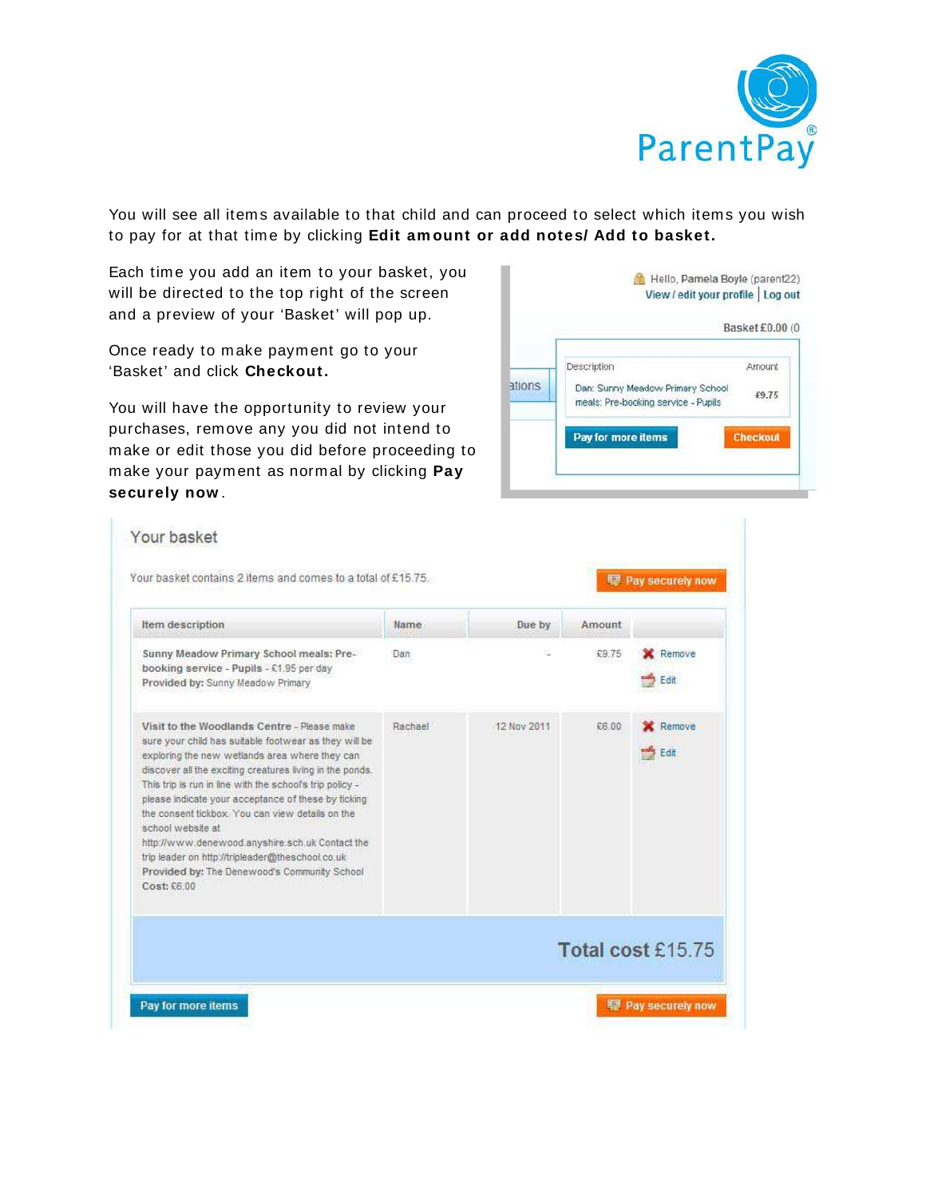

You will see all items available to that child and can proceed to select which items you wish to pay for at that time by clicking **Edit am ount or add notes/ Add to basket.** 

Each time you add an item to your basket, you will be directed to the top right of the screen and a preview of your 'Basket' will pop up.

Once ready to make payment go to your 'Basket' and click **Checkout.** 

You will have the opportunity to review your purchases, remove any you did not intend to make or edit those you did before proceeding to make your payment as normal by clicking **Pay securely now** .



| Item description                                                                                                                                                                                                                                                                                                                                                                                                                                                                                                                                                                     | Name    | Due by      | Amount |                   |
|--------------------------------------------------------------------------------------------------------------------------------------------------------------------------------------------------------------------------------------------------------------------------------------------------------------------------------------------------------------------------------------------------------------------------------------------------------------------------------------------------------------------------------------------------------------------------------------|---------|-------------|--------|-------------------|
| Sunny Meadow Primary School meals: Pre-<br>booking service - Pupils - £1.95 per day<br>Provided by: Sunny Meadow Primary                                                                                                                                                                                                                                                                                                                                                                                                                                                             | Dan     |             | £9.75  | Remove<br>Edit    |
| Visit to the Woodlands Centre - Please make<br>sure your child has suitable footwear as they will be<br>exploring the new wetlands area where they can<br>discover all the exciting creatures living in the ponds.<br>This trip is run in line with the school's trip policy -<br>please indicate your acceptance of these by ticking<br>the consent tickbox. You can view details on the<br>school website at<br>http://www.denewood.anyshire.sch.uk Contact the<br>trip leader on http://tripleader@theschool.co.uk<br>Provided by: The Denewood's Community School<br>Cost: £6.00 | Rachael | 12 Nov 2011 | £6.00  | Remove<br>Edit    |
|                                                                                                                                                                                                                                                                                                                                                                                                                                                                                                                                                                                      |         |             |        | Total cost £15.75 |